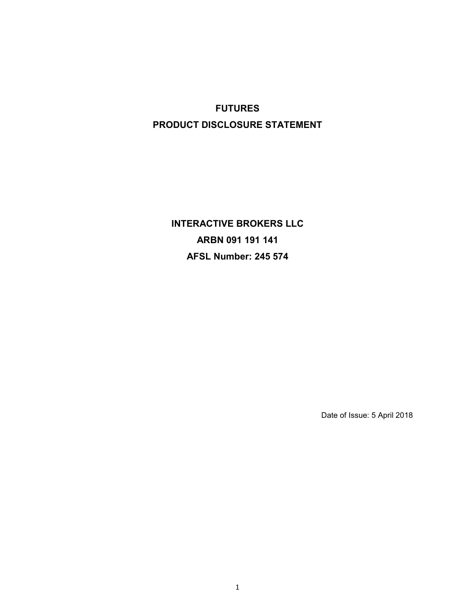# **FUTURES PRODUCT DISCLOSURE STATEMENT**

**INTERACTIVE BROKERS LLC ARBN 091 191 141 AFSL Number: 245 574**

Date of Issue: 5 April 2018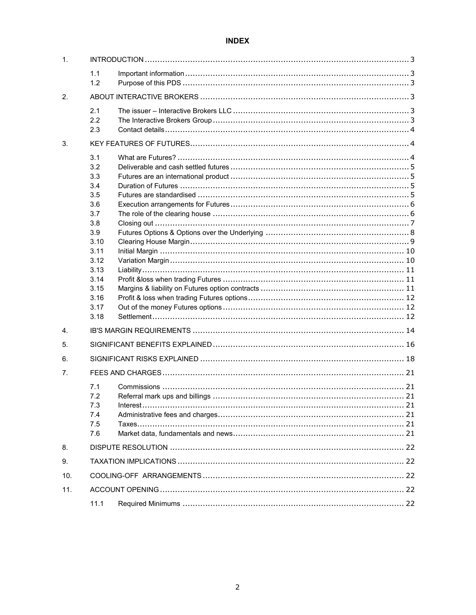# **INDEX**

| $\mathbf 1$ . |                                                                                                                                     |  |  |
|---------------|-------------------------------------------------------------------------------------------------------------------------------------|--|--|
|               | 1.1<br>1.2                                                                                                                          |  |  |
| 2.            |                                                                                                                                     |  |  |
|               | 2.1<br>2.2<br>2.3                                                                                                                   |  |  |
| 3.            |                                                                                                                                     |  |  |
|               | 3.1<br>3.2<br>3.3<br>3.4<br>3.5<br>3.6<br>3.7<br>3.8<br>3.9<br>3.10<br>3.11<br>3.12<br>3.13<br>3.14<br>3.15<br>3.16<br>3.17<br>3.18 |  |  |
| 4.            |                                                                                                                                     |  |  |
| 5.            |                                                                                                                                     |  |  |
| 6.            |                                                                                                                                     |  |  |
| 7.            | 7.1<br>7.2<br>7.3<br>7.4<br>7.5<br>7.6                                                                                              |  |  |
| 8.            |                                                                                                                                     |  |  |
| 9.            |                                                                                                                                     |  |  |
| 10.           |                                                                                                                                     |  |  |
| 11.           |                                                                                                                                     |  |  |
|               | 11.1                                                                                                                                |  |  |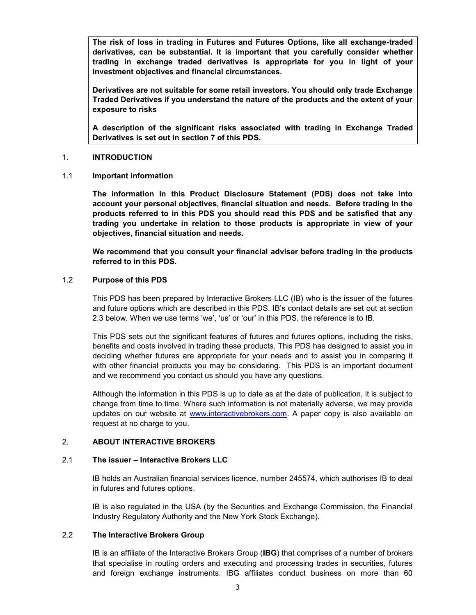**The risk of loss in trading in Futures and Futures Options, like all exchange-traded derivatives, can be substantial. It is important that you carefully consider whether trading in exchange traded derivatives is appropriate for you in light of your investment objectives and financial circumstances.** 

**Derivatives are not suitable for some retail investors. You should only trade Exchange Traded Derivatives if you understand the nature of the products and the extent of your exposure to risks**

**A description of the significant risks associated with trading in Exchange Traded Derivatives is set out in section 7 of this PDS.**

#### 1. **INTRODUCTION**

1.1 **Important information**

**The information in this Product Disclosure Statement (PDS) does not take into account your personal objectives, financial situation and needs. Before trading in the products referred to in this PDS you should read this PDS and be satisfied that any trading you undertake in relation to those products is appropriate in view of your objectives, financial situation and needs.**

**We recommend that you consult your financial adviser before trading in the products referred to in this PDS.**

# 1.2 **Purpose of this PDS**

This PDS has been prepared by Interactive Brokers LLC (IB) who is the issuer of the futures and future options which are described in this PDS. IB's contact details are set out at section 2.3 below. When we use terms 'we', 'us' or 'our' in this PDS, the reference is to IB.

This PDS sets out the significant features of futures and futures options, including the risks, benefits and costs involved in trading these products. This PDS has designed to assist you in deciding whether futures are appropriate for your needs and to assist you in comparing it with other financial products you may be considering. This PDS is an important document and we recommend you contact us should you have any questions.

Although the information in this PDS is up to date as at the date of publication, it is subject to change from time to time. Where such information is not materially adverse, we may provide updates on our website at www.interactivebrokers.com. A paper copy is also available on request at no charge to you.

# 2. **ABOUT INTERACTIVE BROKERS**

#### 2.1 **The issuer – Interactive Brokers LLC**

IB holds an Australian financial services licence, number 245574, which authorises IB to deal in futures and futures options.

IB is also regulated in the USA (by the Securities and Exchange Commission, the Financial Industry Regulatory Authority and the New York Stock Exchange).

### 2.2 **The Interactive Brokers Group**

IB is an affiliate of the Interactive Brokers Group (**IBG**) that comprises of a number of brokers that specialise in routing orders and executing and processing trades in securities, futures and foreign exchange instruments. IBG affiliates conduct business on more than 60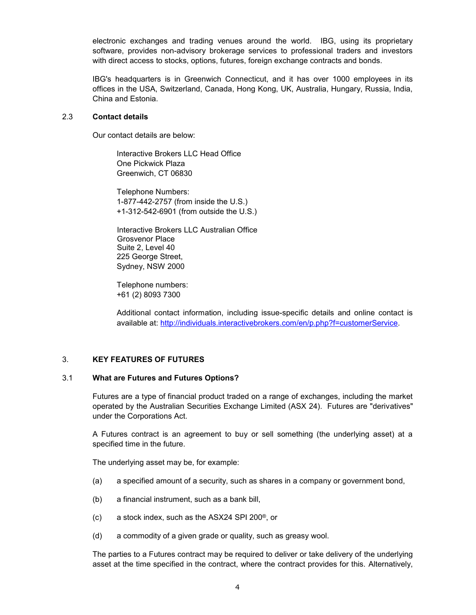electronic exchanges and trading venues around the world. IBG, using its proprietary software, provides non-advisory brokerage services to professional traders and investors with direct access to stocks, options, futures, foreign exchange contracts and bonds.

IBG's headquarters is in Greenwich Connecticut, and it has over 1000 employees in its offices in the USA, Switzerland, Canada, Hong Kong, UK, Australia, Hungary, Russia, India, China and Estonia.

#### 2.3 **Contact details**

Our contact details are below:

Interactive Brokers LLC Head Office One Pickwick Plaza Greenwich, CT 06830

Telephone Numbers: 1-877-442-2757 (from inside the U.S.) +1-312-542-6901 (from outside the U.S.)

Interactive Brokers LLC Australian Office Grosvenor Place Suite 2, Level 40 225 George Street, Sydney, NSW 2000

Telephone numbers: +61 (2) 8093 7300

Additional contact information, including issue-specific details and online contact is available at: http://individuals.interactivebrokers.com/en/p.php?f=customerService.

# 3. **KEY FEATURES OF FUTURES**

#### 3.1 **What are Futures and Futures Options?**

Futures are a type of financial product traded on a range of exchanges, including the market operated by the Australian Securities Exchange Limited (ASX 24). Futures are "derivatives" under the Corporations Act.

A Futures contract is an agreement to buy or sell something (the underlying asset) at a specified time in the future.

The underlying asset may be, for example:

- (a) a specified amount of a security, such as shares in a company or government bond,
- (b) a financial instrument, such as a bank bill,
- (c) a stock index, such as the ASX24 SPI 200®, or
- (d) a commodity of a given grade or quality, such as greasy wool.

The parties to a Futures contract may be required to deliver or take delivery of the underlying asset at the time specified in the contract, where the contract provides for this. Alternatively,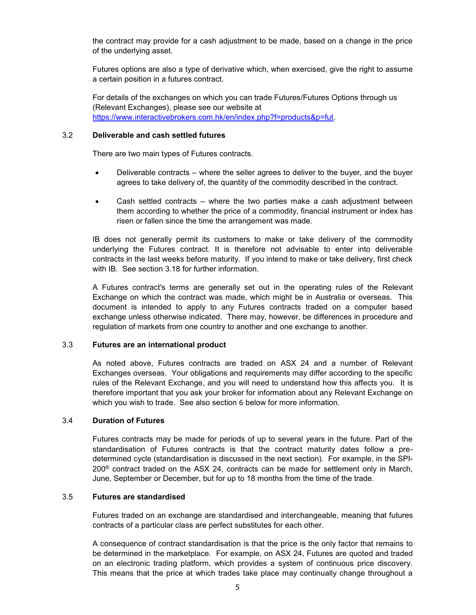the contract may provide for a cash adjustment to be made, based on a change in the price of the underlying asset.

Futures options are also a type of derivative which, when exercised, give the right to assume a certain position in a futures contract.

For details of the exchanges on which you can trade Futures/Futures Options through us (Relevant Exchanges), please see our website at https://www.interactivebrokers.com.hk/en/index.php?f=products&p=fut.

#### 3.2 **Deliverable and cash settled futures**

There are two main types of Futures contracts.

- Deliverable contracts where the seller agrees to deliver to the buyer, and the buyer agrees to take delivery of, the quantity of the commodity described in the contract.
- Cash settled contracts where the two parties make a cash adjustment between them according to whether the price of a commodity, financial instrument or index has risen or fallen since the time the arrangement was made.

IB does not generally permit its customers to make or take delivery of the commodity underlying the Futures contract. It is therefore not advisable to enter into deliverable contracts in the last weeks before maturity. If you intend to make or take delivery, first check with IB. See section 3.18 for further information.

A Futures contract's terms are generally set out in the operating rules of the Relevant Exchange on which the contract was made, which might be in Australia or overseas. This document is intended to apply to any Futures contracts traded on a computer based exchange unless otherwise indicated. There may, however, be differences in procedure and regulation of markets from one country to another and one exchange to another.

#### 3.3 **Futures are an international product**

As noted above, Futures contracts are traded on ASX 24 and a number of Relevant Exchanges overseas. Your obligations and requirements may differ according to the specific rules of the Relevant Exchange, and you will need to understand how this affects you. It is therefore important that you ask your broker for information about any Relevant Exchange on which you wish to trade. See also section 6 below for more information.

#### 3.4 **Duration of Futures**

Futures contracts may be made for periods of up to several years in the future. Part of the standardisation of Futures contracts is that the contract maturity dates follow a predetermined cycle (standardisation is discussed in the next section). For example, in the SPI- $200^\circ$  contract traded on the ASX 24, contracts can be made for settlement only in March, June, September or December, but for up to 18 months from the time of the trade.

#### 3.5 **Futures are standardised**

Futures traded on an exchange are standardised and interchangeable, meaning that futures contracts of a particular class are perfect substitutes for each other.

A consequence of contract standardisation is that the price is the only factor that remains to be determined in the marketplace. For example, on ASX 24, Futures are quoted and traded on an electronic trading platform, which provides a system of continuous price discovery. This means that the price at which trades take place may continually change throughout a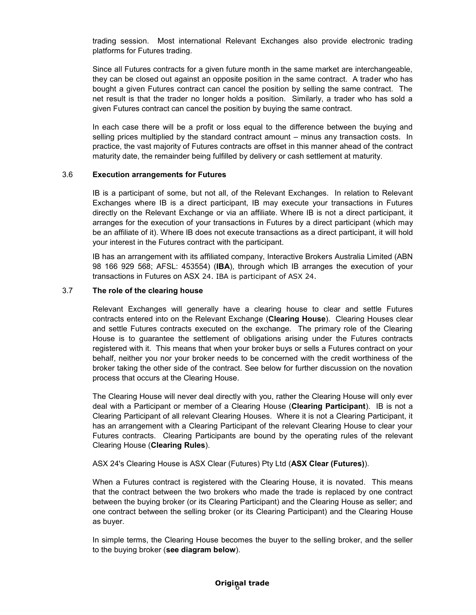trading session. Most international Relevant Exchanges also provide electronic trading platforms for Futures trading.

Since all Futures contracts for a given future month in the same market are interchangeable, they can be closed out against an opposite position in the same contract. A trader who has bought a given Futures contract can cancel the position by selling the same contract. The net result is that the trader no longer holds a position. Similarly, a trader who has sold a given Futures contract can cancel the position by buying the same contract.

In each case there will be a profit or loss equal to the difference between the buying and selling prices multiplied by the standard contract amount – minus any transaction costs. In practice, the vast majority of Futures contracts are offset in this manner ahead of the contract maturity date, the remainder being fulfilled by delivery or cash settlement at maturity.

#### 3.6 **Execution arrangements for Futures**

IB is a participant of some, but not all, of the Relevant Exchanges. In relation to Relevant Exchanges where IB is a direct participant, IB may execute your transactions in Futures directly on the Relevant Exchange or via an affiliate. Where IB is not a direct participant, it arranges for the execution of your transactions in Futures by a direct participant (which may be an affiliate of it). Where IB does not execute transactions as a direct participant, it will hold your interest in the Futures contract with the participant.

IB has an arrangement with its affiliated company, Interactive Brokers Australia Limited (ABN 98 166 929 568; AFSL: 453554) (**IBA**), through which IB arranges the execution of your transactions in Futures on ASX 24. IBA is participant of ASX 24.

# 3.7 **The role of the clearing house**

Relevant Exchanges will generally have a clearing house to clear and settle Futures contracts entered into on the Relevant Exchange (**Clearing House**). Clearing Houses clear and settle Futures contracts executed on the exchange. The primary role of the Clearing House is to guarantee the settlement of obligations arising under the Futures contracts registered with it. This means that when your broker buys or sells a Futures contract on your behalf, neither you nor your broker needs to be concerned with the credit worthiness of the broker taking the other side of the contract. See below for further discussion on the novation process that occurs at the Clearing House.

The Clearing House will never deal directly with you, rather the Clearing House will only ever deal with a Participant or member of a Clearing House (**Clearing Participant**). IB is not a Clearing Participant of all relevant Clearing Houses. Where it is not a Clearing Participant, it has an arrangement with a Clearing Participant of the relevant Clearing House to clear your Futures contracts. Clearing Participants are bound by the operating rules of the relevant Clearing House (**Clearing Rules**).

#### ASX 24's Clearing House is ASX Clear (Futures) Pty Ltd (**ASX Clear (Futures)**).

When a Futures contract is registered with the Clearing House, it is novated. This means that the contract between the two brokers who made the trade is replaced by one contract between the buying broker (or its Clearing Participant) and the Clearing House as seller; and one contract between the selling broker (or its Clearing Participant) and the Clearing House as buyer.

In simple terms, the Clearing House becomes the buyer to the selling broker, and the seller to the buying broker (**see diagram below**).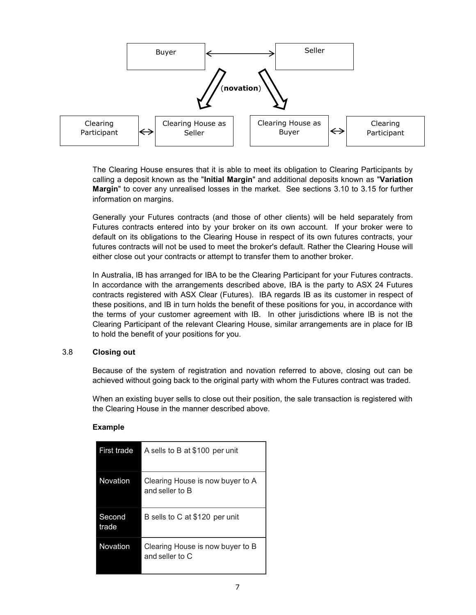

The Clearing House ensures that it is able to meet its obligation to Clearing Participants by calling a deposit known as the "**Initial Margin**" and additional deposits known as "**Variation Margin**" to cover any unrealised losses in the market. See sections 3.10 to 3.15 for further information on margins.

Generally your Futures contracts (and those of other clients) will be held separately from Futures contracts entered into by your broker on its own account. If your broker were to default on its obligations to the Clearing House in respect of its own futures contracts, your futures contracts will not be used to meet the broker's default. Rather the Clearing House will either close out your contracts or attempt to transfer them to another broker.

In Australia, IB has arranged for IBA to be the Clearing Participant for your Futures contracts. In accordance with the arrangements described above, IBA is the party to ASX 24 Futures contracts registered with ASX Clear (Futures). IBA regards IB as its customer in respect of these positions, and IB in turn holds the benefit of these positions for you, in accordance with the terms of your customer agreement with IB. In other jurisdictions where IB is not the Clearing Participant of the relevant Clearing House, similar arrangements are in place for IB to hold the benefit of your positions for you.

#### 3.8 **Closing out**

Because of the system of registration and novation referred to above, closing out can be achieved without going back to the original party with whom the Futures contract was traded.

When an existing buyer sells to close out their position, the sale transaction is registered with the Clearing House in the manner described above.

#### **Example**

| First trade     | A sells to B at \$100 per unit                      |
|-----------------|-----------------------------------------------------|
| Novation        | Clearing House is now buyer to A<br>and seller to B |
| Second<br>trade | B sells to C at \$120 per unit                      |
| Novation        | Clearing House is now buyer to B<br>and seller to C |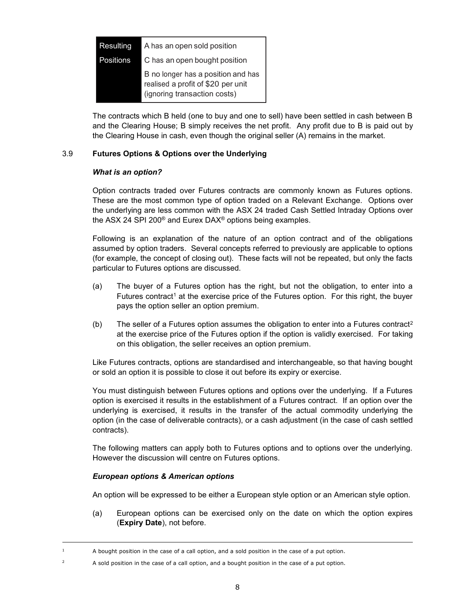| <b>Resulting</b> | A has an open sold position                                                                              |
|------------------|----------------------------------------------------------------------------------------------------------|
| Positions        | C has an open bought position                                                                            |
|                  | B no longer has a position and has<br>realised a profit of \$20 per unit<br>(ignoring transaction costs) |

The contracts which B held (one to buy and one to sell) have been settled in cash between B and the Clearing House; B simply receives the net profit. Any profit due to B is paid out by the Clearing House in cash, even though the original seller (A) remains in the market.

# 3.9 **Futures Options & Options over the Underlying**

#### *What is an option?*

Option contracts traded over Futures contracts are commonly known as Futures options. These are the most common type of option traded on a Relevant Exchange. Options over the underlying are less common with the ASX 24 traded Cash Settled Intraday Options over the ASX 24 SPI 200® and Eurex DAX® options being examples.

Following is an explanation of the nature of an option contract and of the obligations assumed by option traders. Several concepts referred to previously are applicable to options (for example, the concept of closing out). These facts will not be repeated, but only the facts particular to Futures options are discussed.

- (a) The buyer of a Futures option has the right, but not the obligation, to enter into a Futures contract<sup>1</sup> at the exercise price of the Futures option. For this right, the buyer pays the option seller an option premium.
- (b) The seller of a Futures option assumes the obligation to enter into a Futures contract<sup>2</sup> at the exercise price of the Futures option if the option is validly exercised. For taking on this obligation, the seller receives an option premium.

Like Futures contracts, options are standardised and interchangeable, so that having bought or sold an option it is possible to close it out before its expiry or exercise.

You must distinguish between Futures options and options over the underlying. If a Futures option is exercised it results in the establishment of a Futures contract. If an option over the underlying is exercised, it results in the transfer of the actual commodity underlying the option (in the case of deliverable contracts), or a cash adjustment (in the case of cash settled contracts).

The following matters can apply both to Futures options and to options over the underlying. However the discussion will centre on Futures options.

#### *European options & American options*

ł

An option will be expressed to be either a European style option or an American style option.

(a) European options can be exercised only on the date on which the option expires (**Expiry Date**), not before.

 $1$  A bought position in the case of a call option, and a sold position in the case of a put option.

<sup>2</sup> A sold position in the case of a call option, and a bought position in the case of a put option.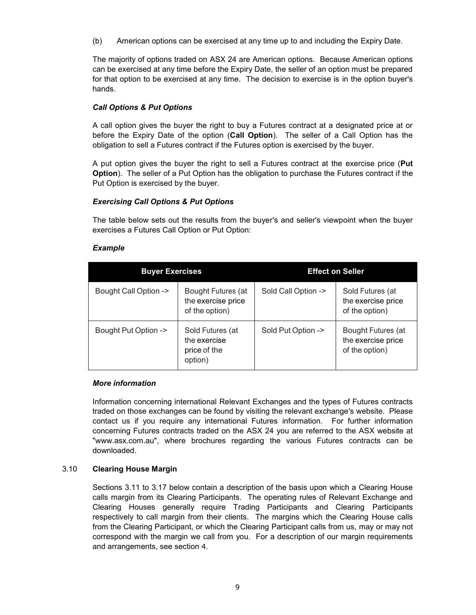(b) American options can be exercised at any time up to and including the Expiry Date.

The majority of options traded on ASX 24 are American options. Because American options can be exercised at any time before the Expiry Date, the seller of an option must be prepared for that option to be exercised at any time. The decision to exercise is in the option buyer's hands.

# *Call Options & Put Options*

A call option gives the buyer the right to buy a Futures contract at a designated price at or before the Expiry Date of the option (**Call Option**). The seller of a Call Option has the obligation to sell a Futures contract if the Futures option is exercised by the buyer.

A put option gives the buyer the right to sell a Futures contract at the exercise price (**Put Option**). The seller of a Put Option has the obligation to purchase the Futures contract if the Put Option is exercised by the buyer.

# *Exercising Call Options & Put Options*

The table below sets out the results from the buyer's and seller's viewpoint when the buyer exercises a Futures Call Option or Put Option:

# *Example*

| <b>Buyer Exercises</b>          |                                                             | <b>Effect on Seller</b> |                                                            |  |
|---------------------------------|-------------------------------------------------------------|-------------------------|------------------------------------------------------------|--|
| <b>Bought Call Option -&gt;</b> | Bought Futures (at<br>the exercise price<br>of the option)  | Sold Call Option ->     | Sold Futures (at<br>the exercise price<br>of the option)   |  |
| Bought Put Option ->            | Sold Futures (at<br>the exercise<br>price of the<br>option) | Sold Put Option ->      | Bought Futures (at<br>the exercise price<br>of the option) |  |

#### *More information*

Information concerning international Relevant Exchanges and the types of Futures contracts traded on those exchanges can be found by visiting the relevant exchange's website. Please contact us if you require any international Futures information. For further information concerning Futures contracts traded on the ASX 24 you are referred to the ASX website at "www.asx.com.au", where brochures regarding the various Futures contracts can be downloaded.

#### 3.10 **Clearing House Margin**

Sections 3.11 to 3.17 below contain a description of the basis upon which a Clearing House calls margin from its Clearing Participants. The operating rules of Relevant Exchange and Clearing Houses generally require Trading Participants and Clearing Participants respectively to call margin from their clients. The margins which the Clearing House calls from the Clearing Participant, or which the Clearing Participant calls from us, may or may not correspond with the margin we call from you. For a description of our margin requirements and arrangements, see section 4.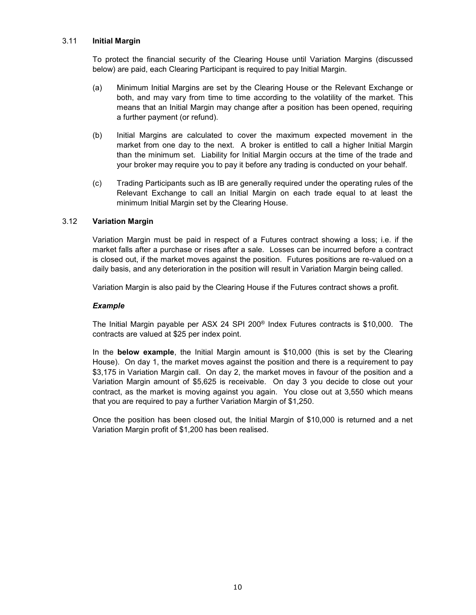# 3.11 **Initial Margin**

To protect the financial security of the Clearing House until Variation Margins (discussed below) are paid, each Clearing Participant is required to pay Initial Margin.

- (a) Minimum Initial Margins are set by the Clearing House or the Relevant Exchange or both, and may vary from time to time according to the volatility of the market. This means that an Initial Margin may change after a position has been opened, requiring a further payment (or refund).
- (b) Initial Margins are calculated to cover the maximum expected movement in the market from one day to the next. A broker is entitled to call a higher Initial Margin than the minimum set. Liability for Initial Margin occurs at the time of the trade and your broker may require you to pay it before any trading is conducted on your behalf.
- (c) Trading Participants such as IB are generally required under the operating rules of the Relevant Exchange to call an Initial Margin on each trade equal to at least the minimum Initial Margin set by the Clearing House.

# 3.12 **Variation Margin**

Variation Margin must be paid in respect of a Futures contract showing a loss; i.e. if the market falls after a purchase or rises after a sale. Losses can be incurred before a contract is closed out, if the market moves against the position. Futures positions are re-valued on a daily basis, and any deterioration in the position will result in Variation Margin being called.

Variation Margin is also paid by the Clearing House if the Futures contract shows a profit.

## *Example*

The Initial Margin payable per ASX 24 SPI 200® Index Futures contracts is \$10,000. The contracts are valued at \$25 per index point.

In the **below example**, the Initial Margin amount is \$10,000 (this is set by the Clearing House). On day 1, the market moves against the position and there is a requirement to pay \$3,175 in Variation Margin call. On day 2, the market moves in favour of the position and a Variation Margin amount of \$5,625 is receivable. On day 3 you decide to close out your contract, as the market is moving against you again. You close out at 3,550 which means that you are required to pay a further Variation Margin of \$1,250.

Once the position has been closed out, the Initial Margin of \$10,000 is returned and a net Variation Margin profit of \$1,200 has been realised.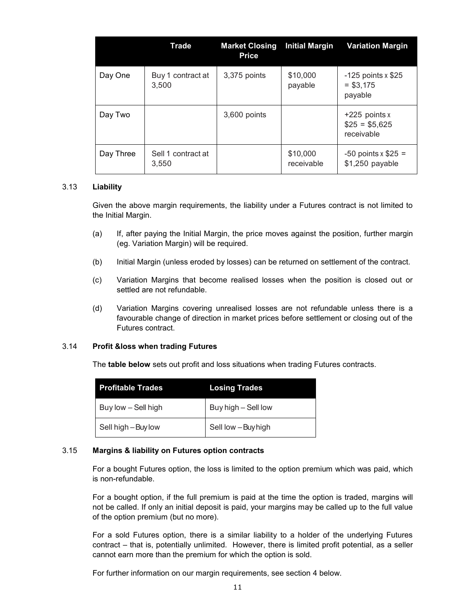|           | Trade                       | <b>Market Closing</b><br><b>Price</b> | <b>Initial Margin</b>  | <b>Variation Margin</b>                         |
|-----------|-----------------------------|---------------------------------------|------------------------|-------------------------------------------------|
| Day One   | Buy 1 contract at<br>3.500  | 3,375 points                          | \$10,000<br>payable    | $-125$ points x \$25<br>$= $3,175$<br>payable   |
| Day Two   |                             | 3,600 points                          |                        | $+225$ points x<br>$$25 = $5,625$<br>receivable |
| Day Three | Sell 1 contract at<br>3.550 |                                       | \$10,000<br>receivable | $-50$ points x \$25 =<br>\$1,250 payable        |

# 3.13 **Liability**

Given the above margin requirements, the liability under a Futures contract is not limited to the Initial Margin.

- (a) If, after paying the Initial Margin, the price moves against the position, further margin (eg. Variation Margin) will be required.
- (b) Initial Margin (unless eroded by losses) can be returned on settlement of the contract.
- (c) Variation Margins that become realised losses when the position is closed out or settled are not refundable.
- (d) Variation Margins covering unrealised losses are not refundable unless there is a favourable change of direction in market prices before settlement or closing out of the Futures contract.

#### 3.14 **Profit &loss when trading Futures**

The **table below** sets out profit and loss situations when trading Futures contracts.

| <b>Profitable Trades</b> | <b>Losing Trades</b> |
|--------------------------|----------------------|
| Buy low – Sell high      | Buy high - Sell low  |
| Sell high - Buy low      | Sell low - Buy high  |

#### 3.15 **Margins & liability on Futures option contracts**

For a bought Futures option, the loss is limited to the option premium which was paid, which is non-refundable.

For a bought option, if the full premium is paid at the time the option is traded, margins will not be called. If only an initial deposit is paid, your margins may be called up to the full value of the option premium (but no more).

For a sold Futures option, there is a similar liability to a holder of the underlying Futures contract – that is, potentially unlimited. However, there is limited profit potential, as a seller cannot earn more than the premium for which the option is sold.

For further information on our margin requirements, see section 4 below.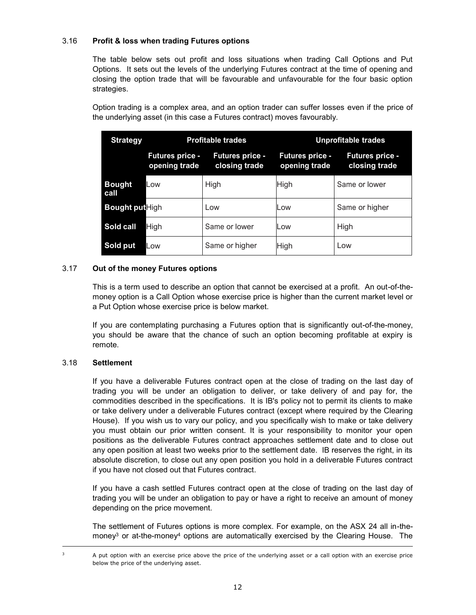# 3.16 **Profit & loss when trading Futures options**

The table below sets out profit and loss situations when trading Call Options and Put Options. It sets out the levels of the underlying Futures contract at the time of opening and closing the option trade that will be favourable and unfavourable for the four basic option strategies.

Option trading is a complex area, and an option trader can suffer losses even if the price of the underlying asset (in this case a Futures contract) moves favourably.

| <b>Strategy</b>        | <b>Profitable trades</b>                |                                         | <b>Unprofitable trades</b>              |                                         |
|------------------------|-----------------------------------------|-----------------------------------------|-----------------------------------------|-----------------------------------------|
|                        | <b>Futures price -</b><br>opening trade | <b>Futures price -</b><br>closing trade | <b>Futures price -</b><br>opening trade | <b>Futures price -</b><br>closing trade |
| <b>Bought</b><br>call  | Low                                     | High                                    | High                                    | Same or lower                           |
| <b>Bought put</b> High |                                         | Low                                     | Low                                     | Same or higher                          |
| Sold call              | High                                    | Same or lower                           | Low                                     | High                                    |
| Sold put               | Low                                     | Same or higher                          | High                                    | Low                                     |

# 3.17 **Out of the money Futures options**

This is a term used to describe an option that cannot be exercised at a profit. An out-of-themoney option is a Call Option whose exercise price is higher than the current market level or a Put Option whose exercise price is below market.

If you are contemplating purchasing a Futures option that is significantly out-of-the-money, you should be aware that the chance of such an option becoming profitable at expiry is remote.

# 3.18 **Settlement**

If you have a deliverable Futures contract open at the close of trading on the last day of trading you will be under an obligation to deliver, or take delivery of and pay for, the commodities described in the specifications. It is IB's policy not to permit its clients to make or take delivery under a deliverable Futures contract (except where required by the Clearing House). If you wish us to vary our policy, and you specifically wish to make or take delivery you must obtain our prior written consent. It is your responsibility to monitor your open positions as the deliverable Futures contract approaches settlement date and to close out any open position at least two weeks prior to the settlement date. IB reserves the right, in its absolute discretion, to close out any open position you hold in a deliverable Futures contract if you have not closed out that Futures contract.

If you have a cash settled Futures contract open at the close of trading on the last day of trading you will be under an obligation to pay or have a right to receive an amount of money depending on the price movement.

The settlement of Futures options is more complex. For example, on the ASX 24 all in-themoney<sup>3</sup> or at-the-money<sup>4</sup> options are automatically exercised by the Clearing House. The

ł

A put option with an exercise price above the price of the underlying asset or a call option with an exercise price below the price of the underlying asset.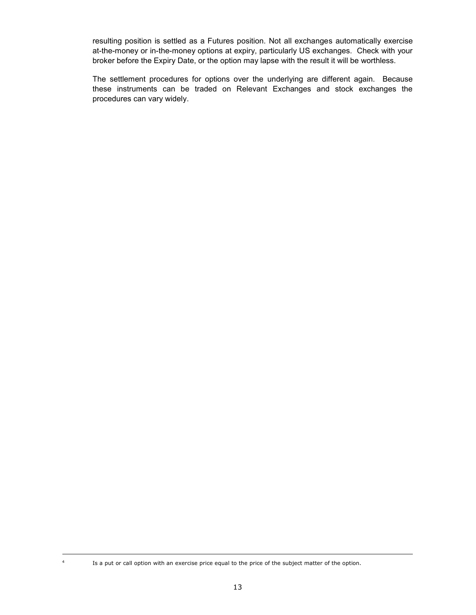resulting position is settled as a Futures position. Not all exchanges automatically exercise at-the-money or in-the-money options at expiry, particularly US exchanges. Check with your broker before the Expiry Date, or the option may lapse with the result it will be worthless.

The settlement procedures for options over the underlying are different again. Because these instruments can be traded on Relevant Exchanges and stock exchanges the procedures can vary widely.

<sup>&</sup>lt;sup>4</sup> Is a put or call option with an exercise price equal to the price of the subject matter of the option.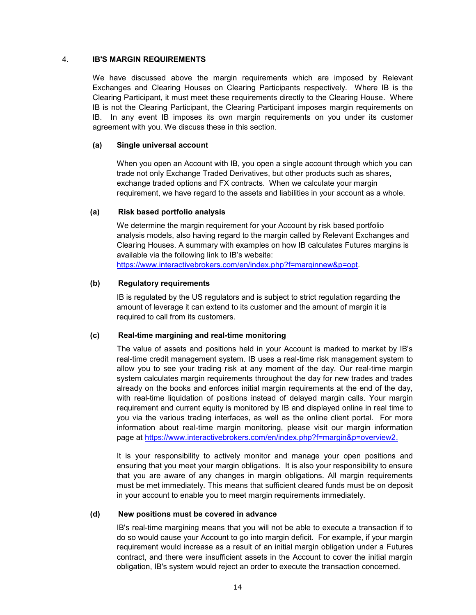### 4. **IB'S MARGIN REQUIREMENTS**

We have discussed above the margin requirements which are imposed by Relevant Exchanges and Clearing Houses on Clearing Participants respectively. Where IB is the Clearing Participant, it must meet these requirements directly to the Clearing House. Where IB is not the Clearing Participant, the Clearing Participant imposes margin requirements on IB. In any event IB imposes its own margin requirements on you under its customer agreement with you. We discuss these in this section.

# **(a) Single universal account**

When you open an Account with IB, you open a single account through which you can trade not only Exchange Traded Derivatives, but other products such as shares, exchange traded options and FX contracts. When we calculate your margin requirement, we have regard to the assets and liabilities in your account as a whole.

# **(a) Risk based portfolio analysis**

We determine the margin requirement for your Account by risk based portfolio analysis models, also having regard to the margin called by Relevant Exchanges and Clearing Houses. A summary with examples on how IB calculates Futures margins is available via the following link to IB's website:

https://www.interactivebrokers.com/en/index.php?f=marginnew&p=opt.

# **(b) Regulatory requirements**

IB is regulated by the US regulators and is subject to strict regulation regarding the amount of leverage it can extend to its customer and the amount of margin it is required to call from its customers.

# **(c) Real-time margining and real-time monitoring**

The value of assets and positions held in your Account is marked to market by IB's real-time credit management system. IB uses a real-time risk management system to allow you to see your trading risk at any moment of the day. Our real-time margin system calculates margin requirements throughout the day for new trades and trades already on the books and enforces initial margin requirements at the end of the day, with real-time liquidation of positions instead of delayed margin calls. Your margin requirement and current equity is monitored by IB and displayed online in real time to you via the various trading interfaces, as well as the online client portal. For more information about real-time margin monitoring, please visit our margin information page at https://www.interactivebrokers.com/en/index.php?f=margin&p=overview2.

It is your responsibility to actively monitor and manage your open positions and ensuring that you meet your margin obligations. It is also your responsibility to ensure that you are aware of any changes in margin obligations. All margin requirements must be met immediately. This means that sufficient cleared funds must be on deposit in your account to enable you to meet margin requirements immediately.

#### **(d) New positions must be covered in advance**

IB's real-time margining means that you will not be able to execute a transaction if to do so would cause your Account to go into margin deficit. For example, if your margin requirement would increase as a result of an initial margin obligation under a Futures contract, and there were insufficient assets in the Account to cover the initial margin obligation, IB's system would reject an order to execute the transaction concerned.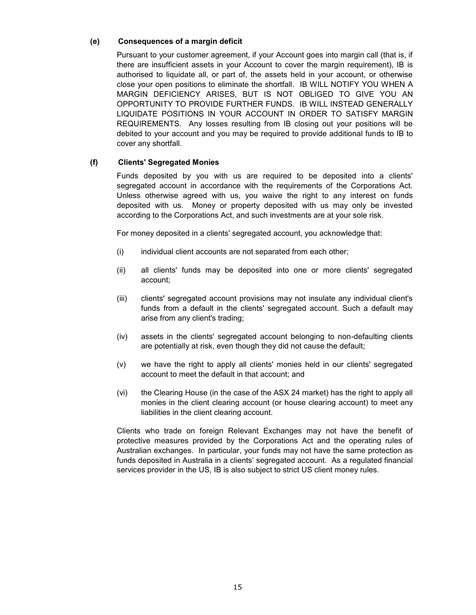# **(e) Consequences of a margin deficit**

Pursuant to your customer agreement, if your Account goes into margin call (that is, if there are insufficient assets in your Account to cover the margin requirement), IB is authorised to liquidate all, or part of, the assets held in your account, or otherwise close your open positions to eliminate the shortfall. IB WILL NOTIFY YOU WHEN A MARGIN DEFICIENCY ARISES, BUT IS NOT OBLIGED TO GIVE YOU AN OPPORTUNITY TO PROVIDE FURTHER FUNDS. IB WILL INSTEAD GENERALLY LIQUIDATE POSITIONS IN YOUR ACCOUNT IN ORDER TO SATISFY MARGIN REQUIREMENTS. Any losses resulting from IB closing out your positions will be debited to your account and you may be required to provide additional funds to IB to cover any shortfall.

# **(f) Clients' Segregated Monies**

Funds deposited by you with us are required to be deposited into a clients' segregated account in accordance with the requirements of the Corporations Act. Unless otherwise agreed with us, you waive the right to any interest on funds deposited with us. Money or property deposited with us may only be invested according to the Corporations Act, and such investments are at your sole risk.

For money deposited in a clients' segregated account, you acknowledge that:

- (i) individual client accounts are not separated from each other;
- (ii) all clients' funds may be deposited into one or more clients' segregated account;
- (iii) clients' segregated account provisions may not insulate any individual client's funds from a default in the clients' segregated account. Such a default may arise from any client's trading;
- (iv) assets in the clients' segregated account belonging to non-defaulting clients are potentially at risk, even though they did not cause the default;
- (v) we have the right to apply all clients' monies held in our clients' segregated account to meet the default in that account; and
- (vi) the Clearing House (in the case of the ASX 24 market) has the right to apply all monies in the client clearing account (or house clearing account) to meet any liabilities in the client clearing account.

Clients who trade on foreign Relevant Exchanges may not have the benefit of protective measures provided by the Corporations Act and the operating rules of Australian exchanges. In particular, your funds may not have the same protection as funds deposited in Australia in a clients' segregated account. As a regulated financial services provider in the US, IB is also subject to strict US client money rules.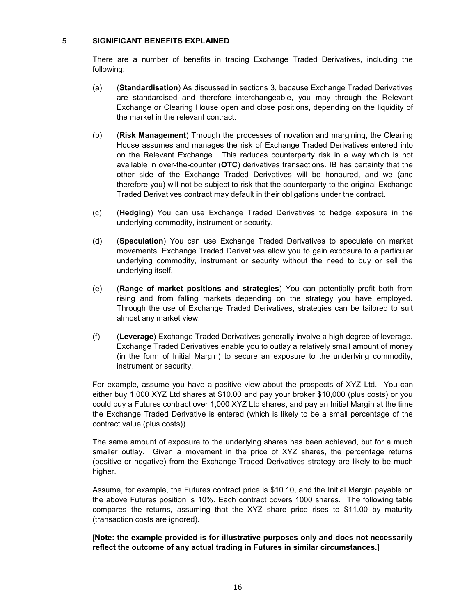# 5. **SIGNIFICANT BENEFITS EXPLAINED**

There are a number of benefits in trading Exchange Traded Derivatives, including the following:

- (a) (**Standardisation**) As discussed in sections 3, because Exchange Traded Derivatives are standardised and therefore interchangeable, you may through the Relevant Exchange or Clearing House open and close positions, depending on the liquidity of the market in the relevant contract.
- (b) (**Risk Management**) Through the processes of novation and margining, the Clearing House assumes and manages the risk of Exchange Traded Derivatives entered into on the Relevant Exchange. This reduces counterparty risk in a way which is not available in over-the-counter (**OTC**) derivatives transactions. IB has certainty that the other side of the Exchange Traded Derivatives will be honoured, and we (and therefore you) will not be subject to risk that the counterparty to the original Exchange Traded Derivatives contract may default in their obligations under the contract.
- (c) (**Hedging**) You can use Exchange Traded Derivatives to hedge exposure in the underlying commodity, instrument or security.
- (d) (**Speculation**) You can use Exchange Traded Derivatives to speculate on market movements. Exchange Traded Derivatives allow you to gain exposure to a particular underlying commodity, instrument or security without the need to buy or sell the underlying itself.
- (e) (**Range of market positions and strategies**) You can potentially profit both from rising and from falling markets depending on the strategy you have employed. Through the use of Exchange Traded Derivatives, strategies can be tailored to suit almost any market view.
- (f) (**Leverage**) Exchange Traded Derivatives generally involve a high degree of leverage. Exchange Traded Derivatives enable you to outlay a relatively small amount of money (in the form of Initial Margin) to secure an exposure to the underlying commodity, instrument or security.

For example, assume you have a positive view about the prospects of XYZ Ltd. You can either buy 1,000 XYZ Ltd shares at \$10.00 and pay your broker \$10,000 (plus costs) or you could buy a Futures contract over 1,000 XYZ Ltd shares, and pay an Initial Margin at the time the Exchange Traded Derivative is entered (which is likely to be a small percentage of the contract value (plus costs)).

The same amount of exposure to the underlying shares has been achieved, but for a much smaller outlay. Given a movement in the price of XYZ shares, the percentage returns (positive or negative) from the Exchange Traded Derivatives strategy are likely to be much higher.

Assume, for example, the Futures contract price is \$10.10, and the Initial Margin payable on the above Futures position is 10%. Each contract covers 1000 shares. The following table compares the returns, assuming that the XYZ share price rises to \$11.00 by maturity (transaction costs are ignored).

[**Note: the example provided is for illustrative purposes only and does not necessarily reflect the outcome of any actual trading in Futures in similar circumstances.**]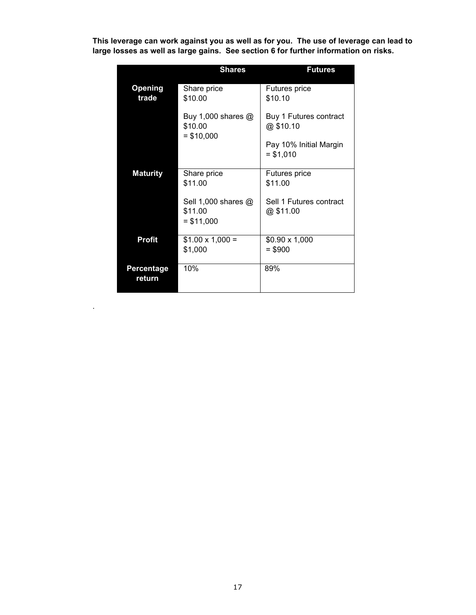**This leverage can work against you as well as for you. The use of leverage can lead to large losses as well as large gains. See section 6 for further information on risks.**

|                             | <b>Shares</b>                                 | <b>Futures</b>                       |
|-----------------------------|-----------------------------------------------|--------------------------------------|
| <b>Opening</b><br>trade     | Share price<br>\$10.00                        | <b>Futures price</b><br>\$10.10      |
|                             | Buy 1,000 shares @<br>\$10.00<br>$= $10,000$  | Buy 1 Futures contract<br>@\$10.10   |
|                             |                                               | Pay 10% Initial Margin<br>$= $1,010$ |
| <b>Maturity</b>             | Share price<br>\$11.00                        | Futures price<br>\$11.00             |
|                             | Sell 1,000 shares @<br>\$11.00<br>$= $11,000$ | Sell 1 Futures contract<br>@\$11.00  |
| <b>Profit</b>               | $$1.00 \times 1,000 =$<br>\$1,000             | $$0.90 \times 1,000$<br>$= $900$     |
| <b>Percentage</b><br>return | 10%                                           | 89%                                  |

.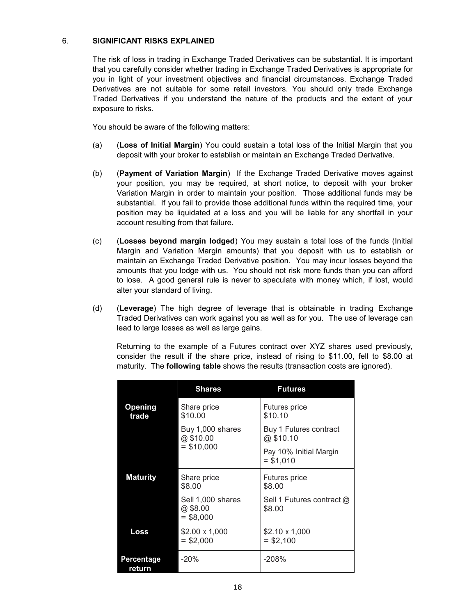# 6. **SIGNIFICANT RISKS EXPLAINED**

The risk of loss in trading in Exchange Traded Derivatives can be substantial. It is important that you carefully consider whether trading in Exchange Traded Derivatives is appropriate for you in light of your investment objectives and financial circumstances. Exchange Traded Derivatives are not suitable for some retail investors. You should only trade Exchange Traded Derivatives if you understand the nature of the products and the extent of your exposure to risks.

You should be aware of the following matters:

- (a) (**Loss of Initial Margin**) You could sustain a total loss of the Initial Margin that you deposit with your broker to establish or maintain an Exchange Traded Derivative.
- (b) (**Payment of Variation Margin**) If the Exchange Traded Derivative moves against your position, you may be required, at short notice, to deposit with your broker Variation Margin in order to maintain your position. Those additional funds may be substantial. If you fail to provide those additional funds within the required time, your position may be liquidated at a loss and you will be liable for any shortfall in your account resulting from that failure.
- (c) (**Losses beyond margin lodged**) You may sustain a total loss of the funds (Initial Margin and Variation Margin amounts) that you deposit with us to establish or maintain an Exchange Traded Derivative position. You may incur losses beyond the amounts that you lodge with us. You should not risk more funds than you can afford to lose. A good general rule is never to speculate with money which, if lost, would alter your standard of living.
- (d) (**Leverage**) The high degree of leverage that is obtainable in trading Exchange Traded Derivatives can work against you as well as for you. The use of leverage can lead to large losses as well as large gains.

Returning to the example of a Futures contract over XYZ shares used previously, consider the result if the share price, instead of rising to \$11.00, fell to \$8.00 at maturity. The **following table** shows the results (transaction costs are ignored).

|                      | <b>Shares</b>                                | <b>Futures</b>                       |
|----------------------|----------------------------------------------|--------------------------------------|
| Opening<br>trade     | Share price<br>\$10.00                       | Futures price<br>\$10.10             |
|                      | Buy 1,000 shares<br>@\$10.00                 | Buy 1 Futures contract<br>@\$10.10   |
|                      | $=$ \$10,000                                 | Pay 10% Initial Margin<br>$= $1,010$ |
| <b>Maturity</b>      | Share price<br>\$8.00                        | Futures price<br>\$8.00              |
|                      | Sell 1,000 shares<br>@ \$8.00<br>$=$ \$8,000 | Sell 1 Futures contract @<br>\$8.00  |
| Loss                 | \$2.00 x 1,000<br>$=$ \$2,000                | \$2.10 x 1,000<br>$=$ \$2,100        |
| Percentage<br>return | $-20%$                                       | $-208%$                              |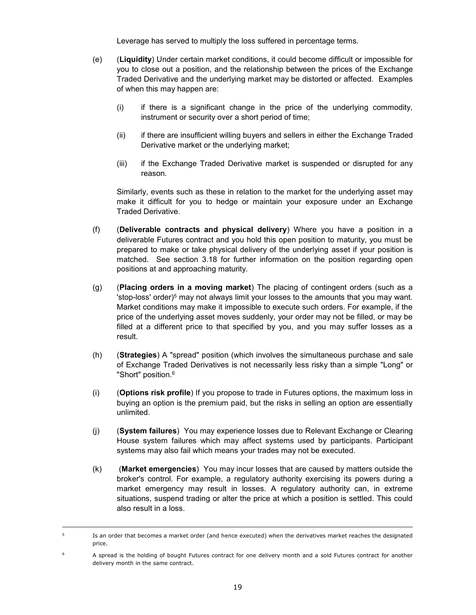Leverage has served to multiply the loss suffered in percentage terms.

- (e) (**Liquidity**) Under certain market conditions, it could become difficult or impossible for you to close out a position, and the relationship between the prices of the Exchange Traded Derivative and the underlying market may be distorted or affected. Examples of when this may happen are:
	- (i) if there is a significant change in the price of the underlying commodity, instrument or security over a short period of time;
	- (ii) if there are insufficient willing buyers and sellers in either the Exchange Traded Derivative market or the underlying market;
	- (iii) if the Exchange Traded Derivative market is suspended or disrupted for any reason.

Similarly, events such as these in relation to the market for the underlying asset may make it difficult for you to hedge or maintain your exposure under an Exchange Traded Derivative.

- (f) (**Deliverable contracts and physical delivery**) Where you have a position in a deliverable Futures contract and you hold this open position to maturity, you must be prepared to make or take physical delivery of the underlying asset if your position is matched. See section 3.18 for further information on the position regarding open positions at and approaching maturity.
- (g) (**Placing orders in a moving market**) The placing of contingent orders (such as a 'stop-loss' order)<sup>5</sup> may not always limit your losses to the amounts that you may want. Market conditions may make it impossible to execute such orders. For example, if the price of the underlying asset moves suddenly, your order may not be filled, or may be filled at a different price to that specified by you, and you may suffer losses as a result.
- (h) (**Strategies**) A "spread" position (which involves the simultaneous purchase and sale of Exchange Traded Derivatives is not necessarily less risky than a simple "Long" or "Short" position.<sup>6</sup>
- (i) (**Options risk profile**) If you propose to trade in Futures options, the maximum loss in buying an option is the premium paid, but the risks in selling an option are essentially unlimited.
- (j) (**System failures**) You may experience losses due to Relevant Exchange or Clearing House system failures which may affect systems used by participants. Participant systems may also fail which means your trades may not be executed.
- (k) (**Market emergencies**) You may incur losses that are caused by matters outside the broker's control. For example, a regulatory authority exercising its powers during a market emergency may result in losses. A regulatory authority can, in extreme situations, suspend trading or alter the price at which a position is settled. This could also result in a loss.

<sup>&</sup>lt;sup>5</sup> Is an order that becomes a market order (and hence executed) when the derivatives market reaches the designated price.

<sup>6</sup> A spread is the holding of bought Futures contract for one delivery month and a sold Futures contract for another delivery month in the same contract.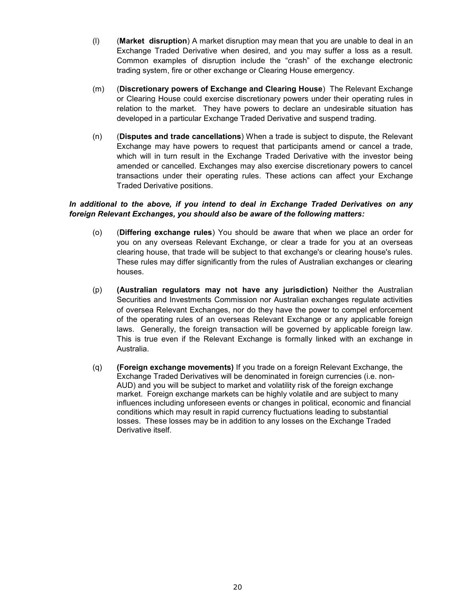- (l) (**Market disruption**) A market disruption may mean that you are unable to deal in an Exchange Traded Derivative when desired, and you may suffer a loss as a result. Common examples of disruption include the "crash" of the exchange electronic trading system, fire or other exchange or Clearing House emergency.
- (m) (**Discretionary powers of Exchange and Clearing House**) The Relevant Exchange or Clearing House could exercise discretionary powers under their operating rules in relation to the market. They have powers to declare an undesirable situation has developed in a particular Exchange Traded Derivative and suspend trading.
- (n) (**Disputes and trade cancellations**) When a trade is subject to dispute, the Relevant Exchange may have powers to request that participants amend or cancel a trade, which will in turn result in the Exchange Traded Derivative with the investor being amended or cancelled. Exchanges may also exercise discretionary powers to cancel transactions under their operating rules. These actions can affect your Exchange Traded Derivative positions.

# *In additional to the above, if you intend to deal in Exchange Traded Derivatives on any foreign Relevant Exchanges, you should also be aware of the following matters:*

- (o) (**Differing exchange rules**) You should be aware that when we place an order for you on any overseas Relevant Exchange, or clear a trade for you at an overseas clearing house, that trade will be subject to that exchange's or clearing house's rules. These rules may differ significantly from the rules of Australian exchanges or clearing houses.
- (p) **(Australian regulators may not have any jurisdiction)** Neither the Australian Securities and Investments Commission nor Australian exchanges regulate activities of oversea Relevant Exchanges, nor do they have the power to compel enforcement of the operating rules of an overseas Relevant Exchange or any applicable foreign laws. Generally, the foreign transaction will be governed by applicable foreign law. This is true even if the Relevant Exchange is formally linked with an exchange in Australia.
- (q) **(Foreign exchange movements)** If you trade on a foreign Relevant Exchange, the Exchange Traded Derivatives will be denominated in foreign currencies (i.e. non-AUD) and you will be subject to market and volatility risk of the foreign exchange market. Foreign exchange markets can be highly volatile and are subject to many influences including unforeseen events or changes in political, economic and financial conditions which may result in rapid currency fluctuations leading to substantial losses. These losses may be in addition to any losses on the Exchange Traded Derivative itself.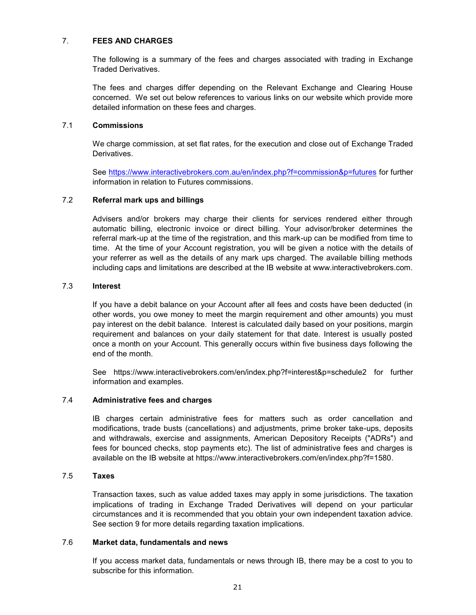## 7. **FEES AND CHARGES**

The following is a summary of the fees and charges associated with trading in Exchange Traded Derivatives.

The fees and charges differ depending on the Relevant Exchange and Clearing House concerned. We set out below references to various links on our website which provide more detailed information on these fees and charges.

# 7.1 **Commissions**

We charge commission, at set flat rates, for the execution and close out of Exchange Traded Derivatives.

See https://www.interactivebrokers.com.au/en/index.php?f=commission&p=futures for further information in relation to Futures commissions.

# 7.2 **Referral mark ups and billings**

Advisers and/or brokers may charge their clients for services rendered either through automatic billing, electronic invoice or direct billing. Your advisor/broker determines the referral mark-up at the time of the registration, and this mark-up can be modified from time to time. At the time of your Account registration, you will be given a notice with the details of your referrer as well as the details of any mark ups charged. The available billing methods including caps and limitations are described at the IB website at www.interactivebrokers.com.

# 7.3 **Interest**

If you have a debit balance on your Account after all fees and costs have been deducted (in other words, you owe money to meet the margin requirement and other amounts) you must pay interest on the debit balance. Interest is calculated daily based on your positions, margin requirement and balances on your daily statement for that date. Interest is usually posted once a month on your Account. This generally occurs within five business days following the end of the month.

See https://www.interactivebrokers.com/en/index.php?f=interest&p=schedule2 for further information and examples.

# 7.4 **Administrative fees and charges**

IB charges certain administrative fees for matters such as order cancellation and modifications, trade busts (cancellations) and adjustments, prime broker take-ups, deposits and withdrawals, exercise and assignments, American Depository Receipts ("ADRs") and fees for bounced checks, stop payments etc). The list of administrative fees and charges is available on the IB website at https://www.interactivebrokers.com/en/index.php?f=1580.

#### 7.5 **Taxes**

Transaction taxes, such as value added taxes may apply in some jurisdictions. The taxation implications of trading in Exchange Traded Derivatives will depend on your particular circumstances and it is recommended that you obtain your own independent taxation advice. See section 9 for more details regarding taxation implications.

# 7.6 **Market data, fundamentals and news**

If you access market data, fundamentals or news through IB, there may be a cost to you to subscribe for this information.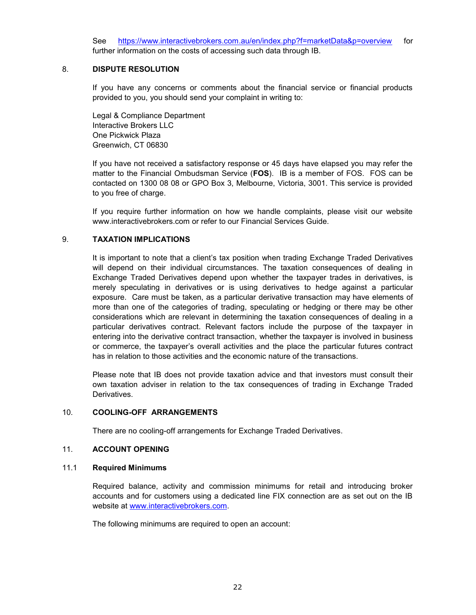See [https://www.interactivebrokers.com.au/en/index.php?f=marketData&p=overview](http://#) for further information on the costs of accessing such data through IB.

## 8. **DISPUTE RESOLUTION**

If you have any concerns or comments about the financial service or financial products provided to you, you should send your complaint in writing to:

Legal & Compliance Department Interactive Brokers LLC One Pickwick Plaza Greenwich, CT 06830

If you have not received a satisfactory response or 45 days have elapsed you may refer the matter to the Financial Ombudsman Service (**FOS**). IB is a member of FOS. FOS can be contacted on 1300 08 08 or GPO Box 3, Melbourne, Victoria, 3001. This service is provided to you free of charge.

If you require further information on how we handle complaints, please visit our website www.interactivebrokers.com or refer to our Financial Services Guide.

# 9. **TAXATION IMPLICATIONS**

It is important to note that a client's tax position when trading Exchange Traded Derivatives will depend on their individual circumstances. The taxation consequences of dealing in Exchange Traded Derivatives depend upon whether the taxpayer trades in derivatives, is merely speculating in derivatives or is using derivatives to hedge against a particular exposure. Care must be taken, as a particular derivative transaction may have elements of more than one of the categories of trading, speculating or hedging or there may be other considerations which are relevant in determining the taxation consequences of dealing in a particular derivatives contract. Relevant factors include the purpose of the taxpayer in entering into the derivative contract transaction, whether the taxpayer is involved in business or commerce, the taxpayer's overall activities and the place the particular futures contract has in relation to those activities and the economic nature of the transactions.

Please note that IB does not provide taxation advice and that investors must consult their own taxation adviser in relation to the tax consequences of trading in Exchange Traded Derivatives.

#### 10. **COOLING-OFF ARRANGEMENTS**

There are no cooling-off arrangements for Exchange Traded Derivatives.

#### 11. **ACCOUNT OPENING**

#### 11.1 **Required Minimums**

Required balance, activity and commission minimums for retail and introducing broker accounts and for customers using a dedicated line FIX connection are as set out on the IB website at [www.interactivebrokers.com.](http://#)

The following minimums are required to open an account: